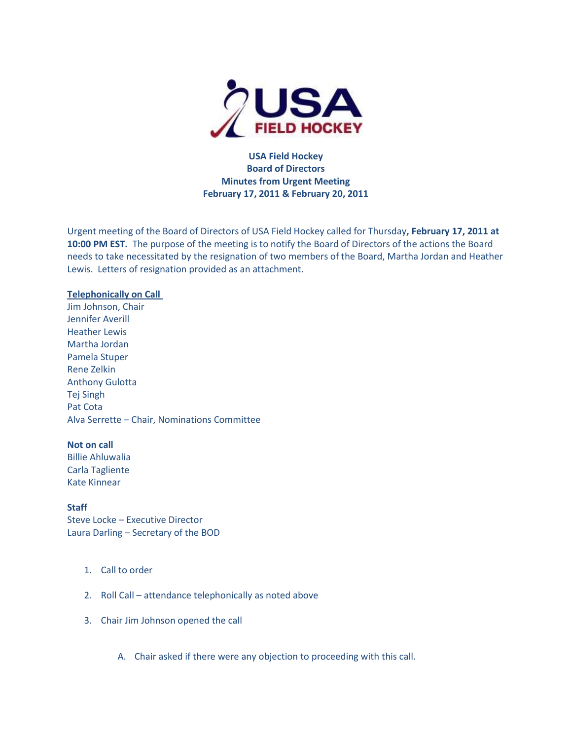

**USA Field Hockey Board of Directors Minutes from Urgent Meeting February 17, 2011 & February 20, 2011**

Urgent meeting of the Board of Directors of USA Field Hockey called for Thursday**, February 17, 2011 at 10:00 PM EST.** The purpose of the meeting is to notify the Board of Directors of the actions the Board needs to take necessitated by the resignation of two members of the Board, Martha Jordan and Heather Lewis. Letters of resignation provided as an attachment.

### **Telephonically on Call**

Jim Johnson, Chair Jennifer Averill Heather Lewis Martha Jordan Pamela Stuper Rene Zelkin Anthony Gulotta Tej Singh Pat Cota Alva Serrette – Chair, Nominations Committee

### **Not on call**

Billie Ahluwalia Carla Tagliente Kate Kinnear

#### **Staff**

Steve Locke – Executive Director Laura Darling – Secretary of the BOD

- 1. Call to order
- 2. Roll Call attendance telephonically as noted above
- 3. Chair Jim Johnson opened the call
	- A. Chair asked if there were any objection to proceeding with this call.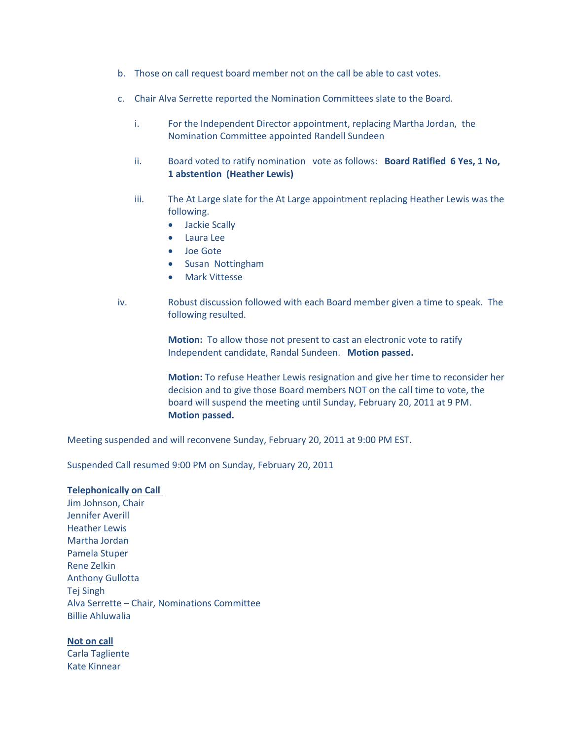- b. Those on call request board member not on the call be able to cast votes.
- c. Chair Alva Serrette reported the Nomination Committees slate to the Board.
	- i. For the Independent Director appointment, replacing Martha Jordan, the Nomination Committee appointed Randell Sundeen
	- ii. Board voted to ratify nomination vote as follows: **Board Ratified 6 Yes, 1 No, 1 abstention (Heather Lewis)**
	- iii. The At Large slate for the At Large appointment replacing Heather Lewis was the following.
		- Jackie Scally
		- Laura Lee
		- Joe Gote
		- Susan Nottingham
		- **•** Mark Vittesse
- iv. Robust discussion followed with each Board member given a time to speak. The following resulted.

**Motion:** To allow those not present to cast an electronic vote to ratify Independent candidate, Randal Sundeen. **Motion passed.**

**Motion:** To refuse Heather Lewis resignation and give her time to reconsider her decision and to give those Board members NOT on the call time to vote, the board will suspend the meeting until Sunday, February 20, 2011 at 9 PM. **Motion passed.** 

Meeting suspended and will reconvene Sunday, February 20, 2011 at 9:00 PM EST.

Suspended Call resumed 9:00 PM on Sunday, February 20, 2011

# **Telephonically on Call**

Jim Johnson, Chair Jennifer Averill Heather Lewis Martha Jordan Pamela Stuper Rene Zelkin Anthony Gullotta Tej Singh Alva Serrette – Chair, Nominations Committee Billie Ahluwalia

#### **Not on call**

Carla Tagliente Kate Kinnear